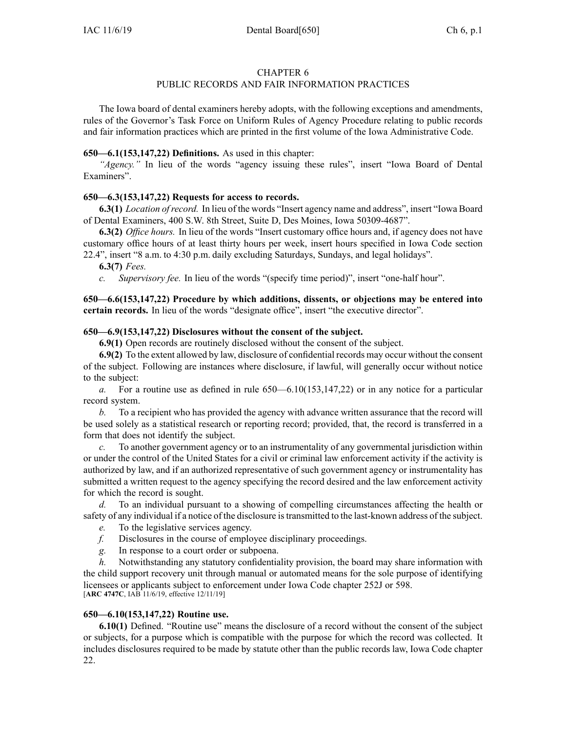### CHAPTER 6

# PUBLIC RECORDS AND FAIR INFORMATION PRACTICES

The Iowa board of dental examiners hereby adopts, with the following exceptions and amendments, rules of the Governor's Task Force on Uniform Rules of Agency Procedure relating to public records and fair information practices which are printed in the first volume of the Iowa Administrative Code.

## **650—6.1(153,147,22) Definitions.** As used in this chapter:

*"Agency."* In lieu of the words "agency issuing these rules", insert "Iowa Board of Dental Examiners".

## **650—6.3(153,147,22) Requests for access to records.**

**6.3(1)** *Location ofrecord.* In lieu of the words "Insert agency name and address", insert "Iowa Board of Dental Examiners, 400 S.W. 8th Street, Suite D, Des Moines, Iowa 50309-4687".

**6.3(2)** *Office hours.* In lieu of the words "Insert customary office hours and, if agency does not have customary office hours of at least thirty hours per week, insert hours specified in Iowa Code section [22.4"](https://www.legis.iowa.gov/docs/ico/section/22.4.pdf), insert "8 a.m. to 4:30 p.m. daily excluding Saturdays, Sundays, and legal holidays".

**6.3(7)** *Fees.*

*c. Supervisory fee.* In lieu of the words "(specify time period)", insert "one-half hour".

**650—6.6(153,147,22) Procedure by which additions, dissents, or objections may be entered into certain records.** In lieu of the words "designate office", insert "the executive director".

## **650—6.9(153,147,22) Disclosures without the consent of the subject.**

**6.9(1)** Open records are routinely disclosed without the consent of the subject.

**6.9(2)** To the extent allowed by law, disclosure of confidential records may occur without the consent of the subject. Following are instances where disclosure, if lawful, will generally occur without notice to the subject:

*a.* For <sup>a</sup> routine use as defined in rule [650—6.10\(](https://www.legis.iowa.gov/docs/iac/rule/650.6.10.pdf)153,147,22) or in any notice for <sup>a</sup> particular record system.

*b.* To <sup>a</sup> recipient who has provided the agency with advance written assurance that the record will be used solely as <sup>a</sup> statistical research or reporting record; provided, that, the record is transferred in <sup>a</sup> form that does not identify the subject.

*c.* To another governmen<sup>t</sup> agency or to an instrumentality of any governmental jurisdiction within or under the control of the United States for <sup>a</sup> civil or criminal law enforcement activity if the activity is authorized by law, and if an authorized representative of such governmen<sup>t</sup> agency or instrumentality has submitted <sup>a</sup> written reques<sup>t</sup> to the agency specifying the record desired and the law enforcement activity for which the record is sought.

*d.* To an individual pursuan<sup>t</sup> to <sup>a</sup> showing of compelling circumstances affecting the health or safety of any individual if <sup>a</sup> notice of the disclosure istransmitted to the last-known address of the subject.

- *e.* To the legislative services agency.
- *f.* Disclosures in the course of employee disciplinary proceedings.
- *g.* In response to <sup>a</sup> court order or subpoena.

*h.* Notwithstanding any statutory confidentiality provision, the board may share information with the child suppor<sup>t</sup> recovery unit through manual or automated means for the sole purpose of identifying licensees or applicants subject to enforcement under Iowa Code chapter [252J](https://www.legis.iowa.gov/docs/ico/chapter/252J.pdf) or [598](https://www.legis.iowa.gov/docs/ico/chapter/598.pdf). [**ARC [4747C](https://www.legis.iowa.gov/docs/aco/arc/4747C.pdf)**, IAB 11/6/19, effective 12/11/19]

### **650—6.10(153,147,22) Routine use.**

**6.10(1)** Defined. "Routine use" means the disclosure of <sup>a</sup> record without the consent of the subject or subjects, for <sup>a</sup> purpose which is compatible with the purpose for which the record was collected. It includes disclosures required to be made by statute other than the public records law, Iowa Code chapter [22](https://www.legis.iowa.gov/docs/ico/chapter/22.pdf).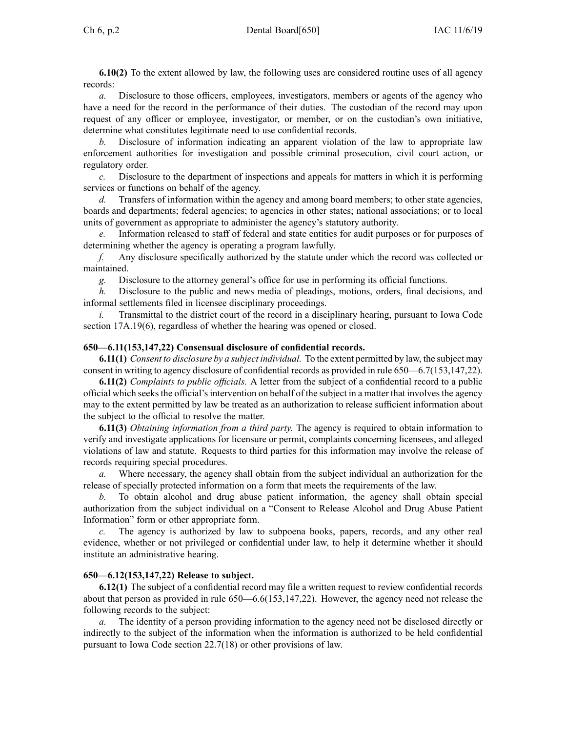**6.10(2)** To the extent allowed by law, the following uses are considered routine uses of all agency records:

*a.* Disclosure to those officers, employees, investigators, members or agents of the agency who have a need for the record in the performance of their duties. The custodian of the record may upon reques<sup>t</sup> of any officer or employee, investigator, or member, or on the custodian's own initiative, determine what constitutes legitimate need to use confidential records.

*b.* Disclosure of information indicating an apparen<sup>t</sup> violation of the law to appropriate law enforcement authorities for investigation and possible criminal prosecution, civil court action, or regulatory order.

*c.* Disclosure to the department of inspections and appeals for matters in which it is performing services or functions on behalf of the agency.

*d.* Transfers of information within the agency and among board members; to other state agencies, boards and departments; federal agencies; to agencies in other states; national associations; or to local units of governmen<sup>t</sup> as appropriate to administer the agency's statutory authority.

Information released to staff of federal and state entities for audit purposes or for purposes of determining whether the agency is operating <sup>a</sup> program lawfully.

*f.* Any disclosure specifically authorized by the statute under which the record was collected or maintained.

*g.* Disclosure to the attorney general's office for use in performing its official functions.

*h.* Disclosure to the public and news media of pleadings, motions, orders, final decisions, and informal settlements filed in licensee disciplinary proceedings.

*i.* Transmittal to the district court of the record in a disciplinary hearing, pursuant to Iowa Code section [17A.19\(6\)](https://www.legis.iowa.gov/docs/ico/section/17A.19.pdf), regardless of whether the hearing was opened or closed.

#### **650—6.11(153,147,22) Consensual disclosure of confidential records.**

**6.11(1)** *Consent to disclosure by <sup>a</sup> subject individual.* To the extent permitted by law, the subject may consent in writing to agency disclosure of confidential records as provided in rule [650—6.7](https://www.legis.iowa.gov/docs/iac/rule/650.6.7.pdf)(153,147,22).

**6.11(2)** *Complaints to public officials.* A letter from the subject of <sup>a</sup> confidential record to <sup>a</sup> public official which seeksthe official'sintervention on behalf of the subject in <sup>a</sup> matter that involvesthe agency may to the extent permitted by law be treated as an authorization to release sufficient information about the subject to the official to resolve the matter.

**6.11(3)** *Obtaining information from <sup>a</sup> third party.* The agency is required to obtain information to verify and investigate applications for licensure or permit, complaints concerning licensees, and alleged violations of law and statute. Requests to third parties for this information may involve the release of records requiring special procedures.

*a.* Where necessary, the agency shall obtain from the subject individual an authorization for the release of specially protected information on <sup>a</sup> form that meets the requirements of the law.

*b.* To obtain alcohol and drug abuse patient information, the agency shall obtain special authorization from the subject individual on <sup>a</sup> "Consent to Release Alcohol and Drug Abuse Patient Information" form or other appropriate form.

*c.* The agency is authorized by law to subpoena books, papers, records, and any other real evidence, whether or not privileged or confidential under law, to help it determine whether it should institute an administrative hearing.

#### **650—6.12(153,147,22) Release to subject.**

**6.12(1)** The subject of <sup>a</sup> confidential record may file <sup>a</sup> written reques<sup>t</sup> to review confidential records about that person as provided in rule [650—6.6](https://www.legis.iowa.gov/docs/iac/rule/650.6.6.pdf)(153,147,22). However, the agency need not release the following records to the subject:

The identity of a person providing information to the agency need not be disclosed directly or indirectly to the subject of the information when the information is authorized to be held confidential pursuan<sup>t</sup> to Iowa Code section [22.7\(18\)](https://www.legis.iowa.gov/docs/ico/section/22.7.pdf) or other provisions of law.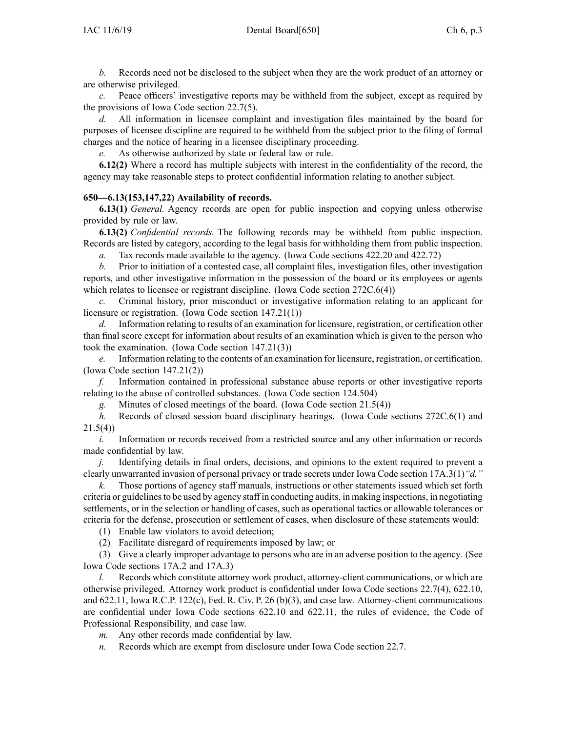*b.* Records need not be disclosed to the subject when they are the work product of an attorney or are otherwise privileged.

*c.* Peace officers' investigative reports may be withheld from the subject, excep<sup>t</sup> as required by the provisions of Iowa Code section [22.7\(5\)](https://www.legis.iowa.gov/docs/ico/section/22.7.pdf).

*d.* All information in licensee complaint and investigation files maintained by the board for purposes of licensee discipline are required to be withheld from the subject prior to the filing of formal charges and the notice of hearing in <sup>a</sup> licensee disciplinary proceeding.

*e.* As otherwise authorized by state or federal law or rule.

**6.12(2)** Where <sup>a</sup> record has multiple subjects with interest in the confidentiality of the record, the agency may take reasonable steps to protect confidential information relating to another subject.

### **650—6.13(153,147,22) Availability of records.**

**6.13(1)** *General.* Agency records are open for public inspection and copying unless otherwise provided by rule or law.

**6.13(2)** *Confidential records.* The following records may be withheld from public inspection. Records are listed by category, according to the legal basis for withholding them from public inspection.

*a.* Tax records made available to the agency. (Iowa Code sections [422.20](https://www.legis.iowa.gov/docs/ico/section/422.20.pdf) and [422.72](https://www.legis.iowa.gov/docs/ico/section/422.72.pdf))

*b.* Prior to initiation of <sup>a</sup> contested case, all complaint files, investigation files, other investigation reports, and other investigative information in the possession of the board or its employees or agents which relates to licensee or registrant discipline. (Iowa Code section [272C.6\(4\)](https://www.legis.iowa.gov/docs/ico/section/272C.6.pdf))

*c.* Criminal history, prior misconduct or investigative information relating to an applicant for licensure or registration. (Iowa Code section [147.21\(1\)](https://www.legis.iowa.gov/docs/ico/section/147.21.pdf))

*d.* Information relating to results of an examination for licensure, registration, or certification other than final score excep<sup>t</sup> for information about results of an examination which is given to the person who took the examination. (Iowa Code section [147.21\(3\)](https://www.legis.iowa.gov/docs/ico/section/147.21.pdf))

*e.* Information relating to the contents of an examination for licensure, registration, or certification. (Iowa Code section [147.21\(2\)\)](https://www.legis.iowa.gov/docs/ico/section/147.21.pdf)

*f.* Information contained in professional substance abuse reports or other investigative reports relating to the abuse of controlled substances. (Iowa Code section [124.504\)](https://www.legis.iowa.gov/docs/ico/section/124.504.pdf)

*g.* Minutes of closed meetings of the board. (Iowa Code section [21.5\(4\)](https://www.legis.iowa.gov/docs/ico/section/21.5.pdf))

*h.* Records of closed session board disciplinary hearings. (Iowa Code sections [272C.6\(1\)](https://www.legis.iowa.gov/docs/ico/section/272C.6.pdf) and [21.5\(4\)](https://www.legis.iowa.gov/docs/ico/section/21.5.pdf))

*i.* Information or records received from a restricted source and any other information or records made confidential by law.

*j.* Identifying details in final orders, decisions, and opinions to the extent required to preven<sup>t</sup> <sup>a</sup> clearly unwarranted invasion of personal privacy or trade secrets under Iowa Code section [17A.3\(1\)](https://www.legis.iowa.gov/docs/ico/section/17A.3.pdf)*"d."*

Those portions of agency staff manuals, instructions or other statements issued which set forth criteria or guidelinesto be used by agency staff in conducting audits, in making inspections, in negotiating settlements, or in the selection or handling of cases, such as operational tactics or allowable tolerances or criteria for the defense, prosecution or settlement of cases, when disclosure of these statements would:

(1) Enable law violators to avoid detection;

(2) Facilitate disregard of requirements imposed by law; or

(3) Give <sup>a</sup> clearly improper advantage to persons who are in an adverse position to the agency. (See Iowa Code sections [17A.2](https://www.legis.iowa.gov/docs/ico/section/17A.2.pdf) and [17A.3](https://www.legis.iowa.gov/docs/ico/section/17A.3.pdf))

*l.* Records which constitute attorney work product, attorney-client communications, or which are otherwise privileged. Attorney work product is confidential under Iowa Code sections [22.7\(4\)](https://www.legis.iowa.gov/docs/ico/section/22.7.pdf), [622.10](https://www.legis.iowa.gov/docs/ico/section/622.10.pdf), and [622.11](https://www.legis.iowa.gov/docs/ico/section/622.11.pdf), Iowa R.C.P. 122(c), Fed. R. Civ. P. 26 (b)(3), and case law. Attorney-client communications are confidential under Iowa Code sections [622.10](https://www.legis.iowa.gov/docs/ico/section/622.10.pdf) and [622.11](https://www.legis.iowa.gov/docs/ico/section/622.11.pdf), the rules of evidence, the Code of Professional Responsibility, and case law.

*m.* Any other records made confidential by law.

*n.* Records which are exemp<sup>t</sup> from disclosure under Iowa Code section [22.7](https://www.legis.iowa.gov/docs/ico/section/22.7.pdf).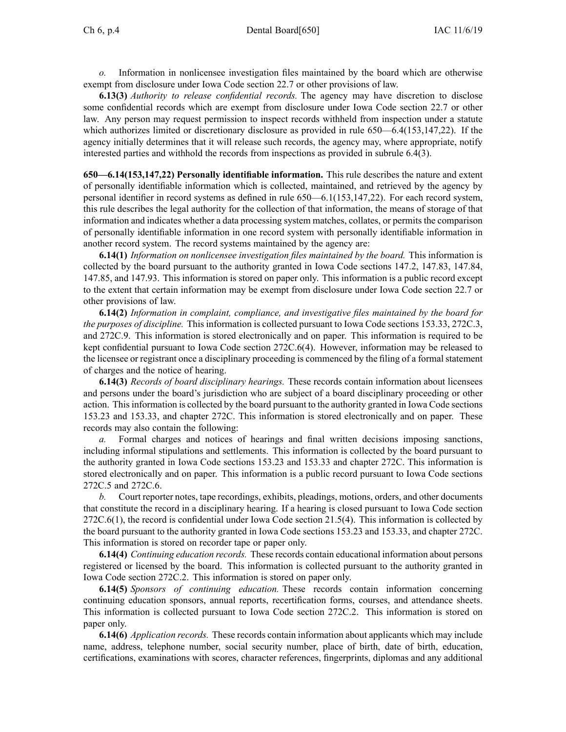*o.* Information in nonlicensee investigation files maintained by the board which are otherwise exemp<sup>t</sup> from disclosure under Iowa Code section [22.7](https://www.legis.iowa.gov/docs/ico/section/22.7.pdf) or other provisions of law.

**6.13(3)** *Authority to release confidential records.* The agency may have discretion to disclose some confidential records which are exemp<sup>t</sup> from disclosure under Iowa Code section [22.7](https://www.legis.iowa.gov/docs/ico/section/22.7.pdf) or other law. Any person may reques<sup>t</sup> permission to inspect records withheld from inspection under <sup>a</sup> statute which authorizes limited or discretionary disclosure as provided in rule [650—6.4](https://www.legis.iowa.gov/docs/iac/rule/650.6.4.pdf)(153,147,22). If the agency initially determines that it will release such records, the agency may, where appropriate, notify interested parties and withhold the records from inspections as provided in subrule [6.4\(3\)](https://www.legis.iowa.gov/docs/iac/rule/650.6.4.pdf).

**650—6.14(153,147,22) Personally identifiable information.** This rule describes the nature and extent of personally identifiable information which is collected, maintained, and retrieved by the agency by personal identifier in record systems as defined in rule [650—6.1](https://www.legis.iowa.gov/docs/iac/rule/650.6.1.pdf)(153,147,22). For each record system, this rule describes the legal authority for the collection of that information, the means of storage of that information and indicates whether <sup>a</sup> data processing system matches, collates, or permits the comparison of personally identifiable information in one record system with personally identifiable information in another record system. The record systems maintained by the agency are:

**6.14(1)** *Information on nonlicensee investigation files maintained by the board.* This information is collected by the board pursuan<sup>t</sup> to the authority granted in Iowa Code sections [147.2](https://www.legis.iowa.gov/docs/ico/section/147.2.pdf), [147.83](https://www.legis.iowa.gov/docs/ico/section/147.83.pdf), [147.84](https://www.legis.iowa.gov/docs/ico/section/147.84.pdf), [147.85](https://www.legis.iowa.gov/docs/ico/section/147.85.pdf), and [147.93](https://www.legis.iowa.gov/docs/ico/section/147.93.pdf). This information is stored on paper only. This information is <sup>a</sup> public record excep<sup>t</sup> to the extent that certain information may be exemp<sup>t</sup> from disclosure under Iowa Code section [22.7](https://www.legis.iowa.gov/docs/ico/section/22.7.pdf) or other provisions of law.

**6.14(2)** *Information in complaint, compliance, and investigative files maintained by the board for the purposes of discipline.* This information is collected pursuan<sup>t</sup> to Iowa Code sections [153.33](https://www.legis.iowa.gov/docs/ico/section/153.33.pdf), [272C.3](https://www.legis.iowa.gov/docs/ico/section/272C.3.pdf), and [272C.9](https://www.legis.iowa.gov/docs/ico/section/272C.9.pdf). This information is stored electronically and on paper. This information is required to be kept confidential pursuan<sup>t</sup> to Iowa Code section [272C.6\(4\)](https://www.legis.iowa.gov/docs/ico/section/272C.6.pdf). However, information may be released to the licensee or registrant once <sup>a</sup> disciplinary proceeding is commenced by the filing of <sup>a</sup> formal statement of charges and the notice of hearing.

**6.14(3)** *Records of board disciplinary hearings.* These records contain information about licensees and persons under the board's jurisdiction who are subject of <sup>a</sup> board disciplinary proceeding or other action. Thisinformation is collected by the board pursuan<sup>t</sup> to the authority granted in Iowa Code sections [153.23](https://www.legis.iowa.gov/docs/ico/section/153.23.pdf) and [153.33](https://www.legis.iowa.gov/docs/ico/section/153.33.pdf), and chapter [272C](https://www.legis.iowa.gov/docs/ico/chapter/272C.pdf). This information is stored electronically and on paper. These records may also contain the following:

*a.* Formal charges and notices of hearings and final written decisions imposing sanctions, including informal stipulations and settlements. This information is collected by the board pursuan<sup>t</sup> to the authority granted in Iowa Code sections [153.23](https://www.legis.iowa.gov/docs/ico/section/153.23.pdf) and [153.33](https://www.legis.iowa.gov/docs/ico/section/153.33.pdf) and chapter [272C](https://www.legis.iowa.gov/docs/ico/chapter/272C.pdf). This information is stored electronically and on paper. This information is <sup>a</sup> public record pursuan<sup>t</sup> to Iowa Code sections [272C.5](https://www.legis.iowa.gov/docs/ico/section/272C.5.pdf) and [272C.6](https://www.legis.iowa.gov/docs/ico/section/272C.6.pdf).

*b.* Court reporter notes, tape recordings, exhibits, pleadings, motions, orders, and other documents that constitute the record in <sup>a</sup> disciplinary hearing. If <sup>a</sup> hearing is closed pursuan<sup>t</sup> to Iowa Code section [272C.6\(1\)](https://www.legis.iowa.gov/docs/ico/section/272C.6.pdf), the record is confidential under Iowa Code section [21.5\(4\)](https://www.legis.iowa.gov/docs/ico/section/21.5.pdf). This information is collected by the board pursuan<sup>t</sup> to the authority granted in Iowa Code sections [153.23](https://www.legis.iowa.gov/docs/ico/section/153.23.pdf) and [153.33](https://www.legis.iowa.gov/docs/ico/section/153.33.pdf), and chapter [272C](https://www.legis.iowa.gov/docs/ico/chapter/272C.pdf). This information is stored on recorder tape or paper only.

**6.14(4)** *Continuing education records.* These records contain educational information about persons registered or licensed by the board. This information is collected pursuan<sup>t</sup> to the authority granted in Iowa Code section [272C.2](https://www.legis.iowa.gov/docs/ico/section/272C.2.pdf). This information is stored on paper only.

**6.14(5)** *Sponsors of continuing education.* These records contain information concerning continuing education sponsors, annual reports, recertification forms, courses, and attendance sheets. This information is collected pursuan<sup>t</sup> to Iowa Code section [272C.2](https://www.legis.iowa.gov/docs/ico/section/272C.2.pdf). This information is stored on paper only.

**6.14(6)** *Application records.* These records contain information about applicants which may include name, address, telephone number, social security number, place of birth, date of birth, education, certifications, examinations with scores, character references, fingerprints, diplomas and any additional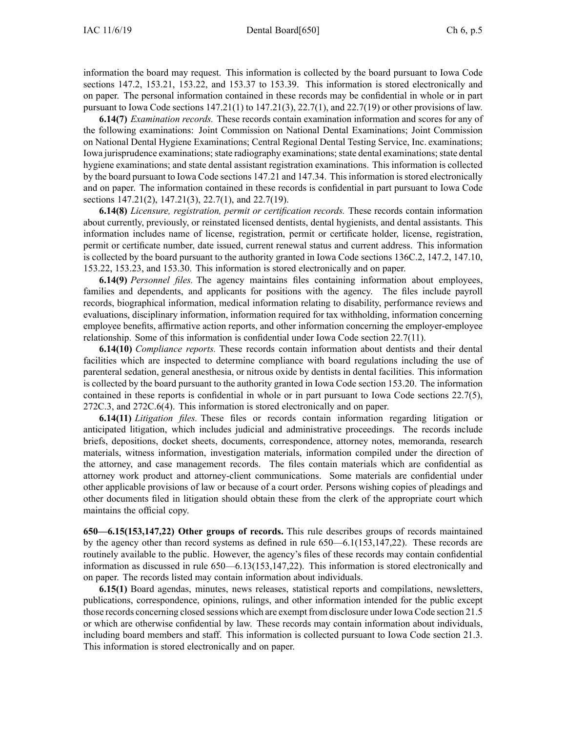information the board may request. This information is collected by the board pursuan<sup>t</sup> to Iowa Code sections [147.2](https://www.legis.iowa.gov/docs/ico/section/147.2.pdf), [153.21](https://www.legis.iowa.gov/docs/ico/section/153.21.pdf), [153.22](https://www.legis.iowa.gov/docs/ico/section/153.22.pdf), and 153.37 to [153.39](https://www.legis.iowa.gov/docs/ico/section/153.37-39.pdf). This information is stored electronically and on paper. The personal information contained in these records may be confidential in whole or in par<sup>t</sup> pursuant to Iowa Code sections  $147.21(1)$  to  $147.21(3)$ ,  $22.7(1)$ , and  $22.7(19)$  or other provisions of law.

**6.14(7)** *Examination records.* These records contain examination information and scores for any of the following examinations: Joint Commission on National Dental Examinations; Joint Commission on National Dental Hygiene Examinations; Central Regional Dental Testing Service, Inc. examinations; Iowa jurisprudence examinations; state radiography examinations; state dental examinations; state dental hygiene examinations; and state dental assistant registration examinations. This information is collected by the board pursuan<sup>t</sup> to Iowa Code sections [147.21](https://www.legis.iowa.gov/docs/ico/section/147.21.pdf) and [147.34](https://www.legis.iowa.gov/docs/ico/section/147.34.pdf). Thisinformation isstored electronically and on paper. The information contained in these records is confidential in par<sup>t</sup> pursuan<sup>t</sup> to Iowa Code sections [147.21\(2\)](https://www.legis.iowa.gov/docs/ico/section/147.21.pdf), [147.21\(3\)](https://www.legis.iowa.gov/docs/ico/section/147.21.pdf), [22.7\(1\)](https://www.legis.iowa.gov/docs/ico/section/22.7.pdf), and [22.7\(19\)](https://www.legis.iowa.gov/docs/ico/section/22.7.pdf).

**6.14(8)** *Licensure, registration, permit or certification records.* These records contain information about currently, previously, or reinstated licensed dentists, dental hygienists, and dental assistants. This information includes name of license, registration, permit or certificate holder, license, registration, permit or certificate number, date issued, current renewal status and current address. This information is collected by the board pursuan<sup>t</sup> to the authority granted in Iowa Code sections [136C.2](https://www.legis.iowa.gov/docs/ico/section/136C.2.pdf), [147.2](https://www.legis.iowa.gov/docs/ico/section/147.2.pdf), [147.10](https://www.legis.iowa.gov/docs/ico/section/147.10.pdf), [153.22](https://www.legis.iowa.gov/docs/ico/section/153.22.pdf), [153.23](https://www.legis.iowa.gov/docs/ico/section/153.23.pdf), and [153.30](https://www.legis.iowa.gov/docs/ico/section/153.30.pdf). This information is stored electronically and on paper.

**6.14(9)** *Personnel files.* The agency maintains files containing information about employees, families and dependents, and applicants for positions with the agency. The files include payroll records, biographical information, medical information relating to disability, performance reviews and evaluations, disciplinary information, information required for tax withholding, information concerning employee benefits, affirmative action reports, and other information concerning the employer-employee relationship. Some of this information is confidential under Iowa Code section [22.7\(11\)](https://www.legis.iowa.gov/docs/ico/section/22.7.pdf).

**6.14(10)** *Compliance reports.* These records contain information about dentists and their dental facilities which are inspected to determine compliance with board regulations including the use of parenteral sedation, general anesthesia, or nitrous oxide by dentists in dental facilities. This information is collected by the board pursuan<sup>t</sup> to the authority granted in Iowa Code section [153.20](https://www.legis.iowa.gov/docs/ico/section/153.20.pdf). The information contained in these reports is confidential in whole or in par<sup>t</sup> pursuan<sup>t</sup> to Iowa Code sections [22.7\(5\)](https://www.legis.iowa.gov/docs/ico/section/22.7.pdf), [272C.3](https://www.legis.iowa.gov/docs/ico/section/272C.3.pdf), and [272C.6\(4\)](https://www.legis.iowa.gov/docs/ico/section/272C.6.pdf). This information is stored electronically and on paper.

**6.14(11)** *Litigation files.* These files or records contain information regarding litigation or anticipated litigation, which includes judicial and administrative proceedings. The records include briefs, depositions, docket sheets, documents, correspondence, attorney notes, memoranda, research materials, witness information, investigation materials, information compiled under the direction of the attorney, and case managemen<sup>t</sup> records. The files contain materials which are confidential as attorney work product and attorney-client communications. Some materials are confidential under other applicable provisions of law or because of <sup>a</sup> court order. Persons wishing copies of pleadings and other documents filed in litigation should obtain these from the clerk of the appropriate court which maintains the official copy.

**650—6.15(153,147,22) Other groups of records.** This rule describes groups of records maintained by the agency other than record systems as defined in rule [650—6.1](https://www.legis.iowa.gov/docs/iac/rule/650.6.1.pdf)(153,147,22). These records are routinely available to the public. However, the agency's files of these records may contain confidential information as discussed in rule [650—6.13](https://www.legis.iowa.gov/docs/iac/rule/650.6.13.pdf)(153,147,22). This information is stored electronically and on paper. The records listed may contain information about individuals.

**6.15(1)** Board agendas, minutes, news releases, statistical reports and compilations, newsletters, publications, correspondence, opinions, rulings, and other information intended for the public excep<sup>t</sup> those records concerning closed sessions which are exemp<sup>t</sup> from disclosure under Iowa Code section [21.5](https://www.legis.iowa.gov/docs/ico/section/21.5.pdf) or which are otherwise confidential by law. These records may contain information about individuals, including board members and staff. This information is collected pursuan<sup>t</sup> to Iowa Code section [21.3](https://www.legis.iowa.gov/docs/ico/section/21.3.pdf). This information is stored electronically and on paper.